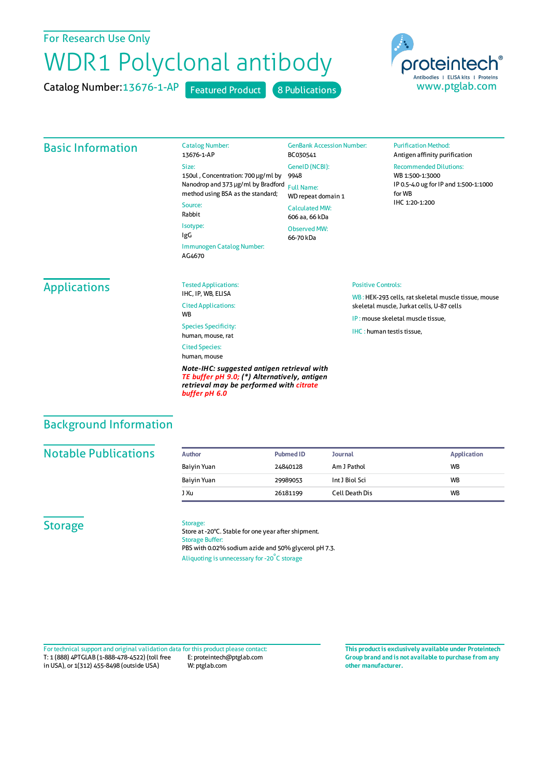## For Research Use Only

# WDR1 Polyclonal antibody

Catalog Number: 13676-1-AP Featured Product 8 Publications



## Basic Information

13676-1-AP Size: 150ul , Concentration: 700 μg/ml by 9948 Nanodrop and 373 μg/ml by Bradford Full Name: method using BSA as the standard; Source: Rabbit

Isotype: IgG Immunogen Catalog Number: AG4670

Catalog Number:

GenBank Accession Number: BC030541 GeneID(NCBI): WD repeat domain 1 CalculatedMW: 606 aa, 66 kDa Observed MW: 66-70 kDa

#### **Purification Method:** Antigen affinity purification

Recommended Dilutions:

WB 1:500-1:3000 IP 0.5-4.0 ug forIP and 1:500-1:1000 forWB IHC 1:20-1:200

# Applications

Tested Applications: IHC, IP, WB, ELISA Cited Applications: **W<sub>R</sub>** Species Specificity: human, mouse, rat

Cited Species: human, mouse

*Note-IHC: suggested antigen retrieval with TE buffer pH 9.0; (\*) Alternatively, antigen retrieval may be performed with citrate buffer pH 6.0*

#### Positive Controls:

WB : HEK-293 cells, rat skeletal muscle tissue, mouse skeletal muscle, Jurkat cells, U-87 cells

IP : mouse skeletal muscle tissue,

IHC : human testis tissue,

# Background Information

## **Notable Publications**

| Author      | <b>Pubmed ID</b> | <b>Journal</b> | Application |
|-------------|------------------|----------------|-------------|
| Baiyin Yuan | 24840128         | Am J Pathol    | <b>WB</b>   |
| Baiyin Yuan | 29989053         | Int J Biol Sci | <b>WB</b>   |
| J Xu        | 26181199         | Cell Death Dis | <b>WB</b>   |

### **Storage**

#### Storage:

Store at -20°C. Stable for one year after shipment. Storage Buffer: PBS with 0.02% sodium azide and 50% glycerol pH 7.3. Aliquoting is unnecessary for -20<sup>°</sup>C storage

T: 1 (888) 4PTGLAB (1-888-478-4522) (toll free in USA), or 1(312) 455-8498 (outside USA) E: proteintech@ptglab.com W: ptglab.com Fortechnical support and original validation data forthis product please contact: **This productis exclusively available under Proteintech**

**Group brand and is not available to purchase from any other manufacturer.**